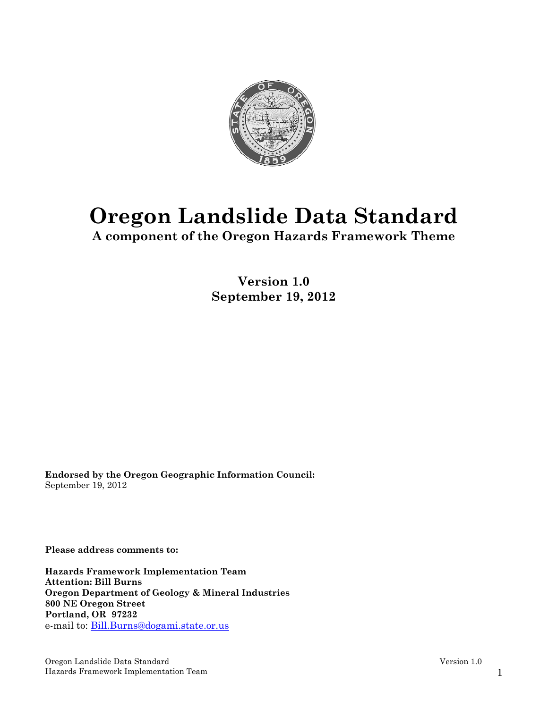

# **Oregon Landslide Data Standard**

**A component of the Oregon Hazards Framework Theme** 

**Version 1.0 September 19, 2012** 

**Endorsed by the Oregon Geographic Information Council:**  September 19, 2012

**Please address comments to:** 

**Hazards Framework Implementation Team Attention: Bill Burns Oregon Department of Geology & Mineral Industries 800 NE Oregon Street Portland, OR 97232**  e-mail to: Bill.Burns@dogami.state.or.us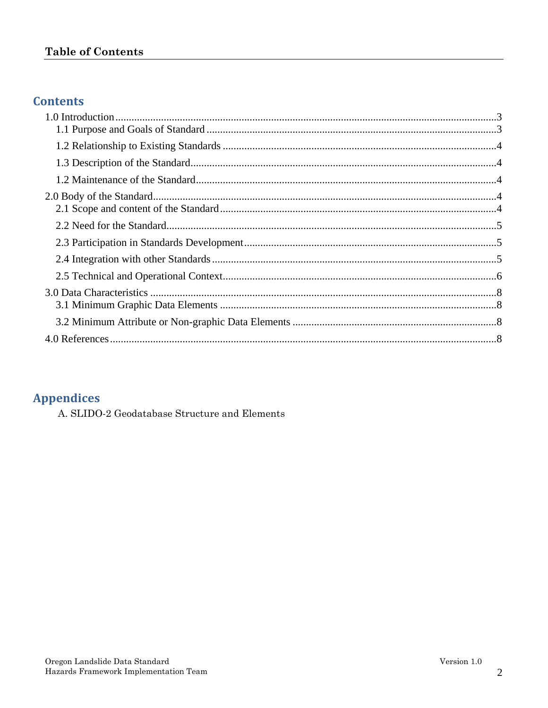# **Table of Contents**

# **Contents**

# **Appendices**

A. SLIDO-2 Geodatabase Structure and Elements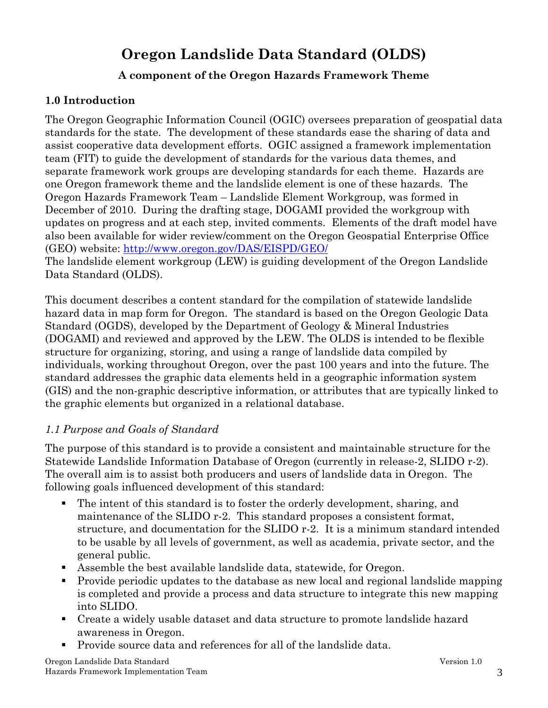# **Oregon Landslide Data Standard (OLDS)**

# **A component of the Oregon Hazards Framework Theme**

#### **1.0 Introduction**

The Oregon Geographic Information Council (OGIC) oversees preparation of geospatial data standards for the state. The development of these standards ease the sharing of data and assist cooperative data development efforts. OGIC assigned a framework implementation team (FIT) to guide the development of standards for the various data themes, and separate framework work groups are developing standards for each theme. Hazards are one Oregon framework theme and the landslide element is one of these hazards. The Oregon Hazards Framework Team – Landslide Element Workgroup, was formed in December of 2010. During the drafting stage, DOGAMI provided the workgroup with updates on progress and at each step, invited comments. Elements of the draft model have also been available for wider review/comment on the Oregon Geospatial Enterprise Office (GEO) website: http://www.oregon.gov/DAS/EISPD/GEO/

The landslide element workgroup (LEW) is guiding development of the Oregon Landslide Data Standard (OLDS).

This document describes a content standard for the compilation of statewide landslide hazard data in map form for Oregon. The standard is based on the Oregon Geologic Data Standard (OGDS), developed by the Department of Geology & Mineral Industries (DOGAMI) and reviewed and approved by the LEW. The OLDS is intended to be flexible structure for organizing, storing, and using a range of landslide data compiled by individuals, working throughout Oregon, over the past 100 years and into the future. The standard addresses the graphic data elements held in a geographic information system (GIS) and the non-graphic descriptive information, or attributes that are typically linked to the graphic elements but organized in a relational database.

#### *1.1 Purpose and Goals of Standard*

The purpose of this standard is to provide a consistent and maintainable structure for the Statewide Landslide Information Database of Oregon (currently in release-2, SLIDO r-2). The overall aim is to assist both producers and users of landslide data in Oregon. The following goals influenced development of this standard:

- The intent of this standard is to foster the orderly development, sharing, and maintenance of the SLIDO r-2. This standard proposes a consistent format, structure, and documentation for the SLIDO r-2. It is a minimum standard intended to be usable by all levels of government, as well as academia, private sector, and the general public.
- Assemble the best available landslide data, statewide, for Oregon.
- Provide periodic updates to the database as new local and regional landslide mapping is completed and provide a process and data structure to integrate this new mapping into SLIDO.
- Create a widely usable dataset and data structure to promote landslide hazard awareness in Oregon.
- **Provide source data and references for all of the landslide data.**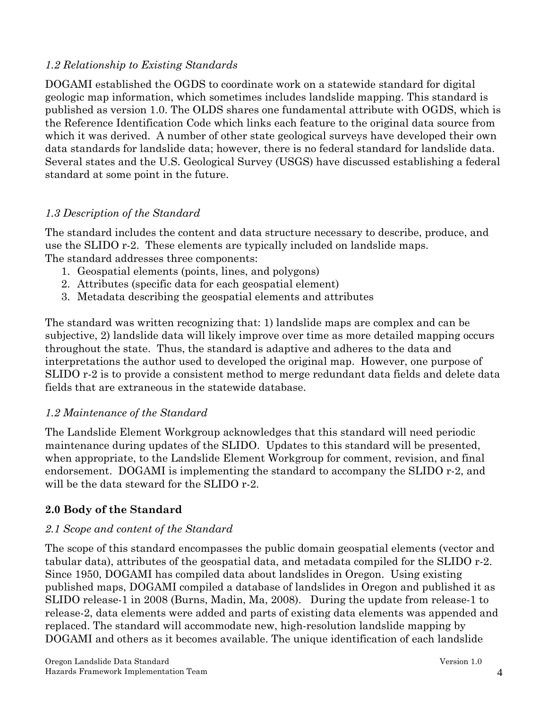#### *1.2 Relationship to Existing Standards*

DOGAMI established the OGDS to coordinate work on a statewide standard for digital geologic map information, which sometimes includes landslide mapping. This standard is published as version 1.0. The OLDS shares one fundamental attribute with OGDS, which is the Reference Identification Code which links each feature to the original data source from which it was derived. A number of other state geological surveys have developed their own data standards for landslide data; however, there is no federal standard for landslide data. Several states and the U.S. Geological Survey (USGS) have discussed establishing a federal standard at some point in the future.

# *1.3 Description of the Standard*

The standard includes the content and data structure necessary to describe, produce, and use the SLIDO r-2. These elements are typically included on landslide maps. The standard addresses three components:

- 1. Geospatial elements (points, lines, and polygons)
- 2. Attributes (specific data for each geospatial element)
- 3. Metadata describing the geospatial elements and attributes

The standard was written recognizing that: 1) landslide maps are complex and can be subjective, 2) landslide data will likely improve over time as more detailed mapping occurs throughout the state. Thus, the standard is adaptive and adheres to the data and interpretations the author used to developed the original map. However, one purpose of SLIDO r-2 is to provide a consistent method to merge redundant data fields and delete data fields that are extraneous in the statewide database.

# *1.2 Maintenance of the Standard*

The Landslide Element Workgroup acknowledges that this standard will need periodic maintenance during updates of the SLIDO. Updates to this standard will be presented, when appropriate, to the Landslide Element Workgroup for comment, revision, and final endorsement. DOGAMI is implementing the standard to accompany the SLIDO r-2, and will be the data steward for the SLIDO r-2.

# **2.0 Body of the Standard**

# *2.1 Scope and content of the Standard*

The scope of this standard encompasses the public domain geospatial elements (vector and tabular data), attributes of the geospatial data, and metadata compiled for the SLIDO r-2. Since 1950, DOGAMI has compiled data about landslides in Oregon. Using existing published maps, DOGAMI compiled a database of landslides in Oregon and published it as SLIDO release-1 in 2008 (Burns, Madin, Ma, 2008). During the update from release-1 to release-2, data elements were added and parts of existing data elements was appended and replaced. The standard will accommodate new, high-resolution landslide mapping by DOGAMI and others as it becomes available. The unique identification of each landslide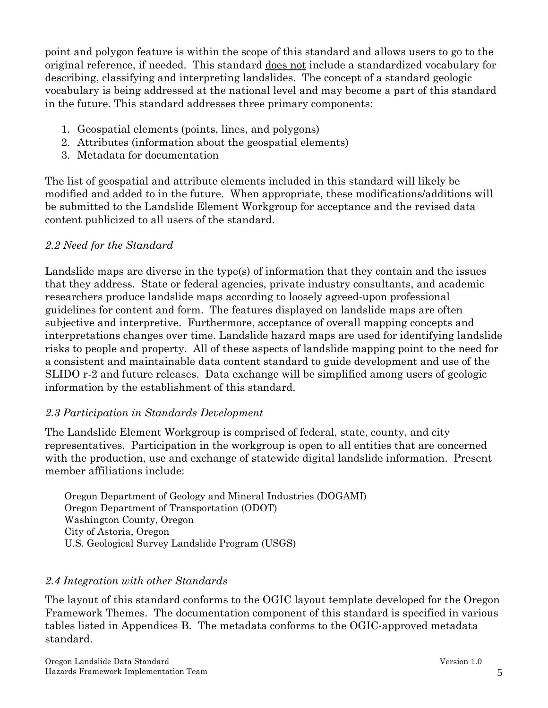point and polygon feature is within the scope of this standard and allows users to go to the original reference, if needed. This standard does not include a standardized vocabulary for describing, classifying and interpreting landslides. The concept of a standard geologic vocabulary is being addressed at the national level and may become a part of this standard in the future. This standard addresses three primary components:

- 1. Geospatial elements (points, lines, and polygons)
- 2. Attributes (information about the geospatial elements)
- 3. Metadata for documentation

The list of geospatial and attribute elements included in this standard will likely be modified and added to in the future. When appropriate, these modifications/additions will be submitted to the Landslide Element Workgroup for acceptance and the revised data content publicized to all users of the standard.

# *2.2 Need for the Standard*

Landslide maps are diverse in the type(s) of information that they contain and the issues that they address. State or federal agencies, private industry consultants, and academic researchers produce landslide maps according to loosely agreed-upon professional guidelines for content and form. The features displayed on landslide maps are often subjective and interpretive. Furthermore, acceptance of overall mapping concepts and interpretations changes over time. Landslide hazard maps are used for identifying landslide risks to people and property. All of these aspects of landslide mapping point to the need for a consistent and maintainable data content standard to guide development and use of the SLIDO r-2 and future releases. Data exchange will be simplified among users of geologic information by the establishment of this standard.

# *2.3 Participation in Standards Development*

The Landslide Element Workgroup is comprised of federal, state, county, and city representatives. Participation in the workgroup is open to all entities that are concerned with the production, use and exchange of statewide digital landslide information. Present member affiliations include:

Oregon Department of Geology and Mineral Industries (DOGAMI) Oregon Department of Transportation (ODOT) Washington County, Oregon City of Astoria, Oregon U.S. Geological Survey Landslide Program (USGS)

# *2.4 Integration with other Standards*

The layout of this standard conforms to the OGIC layout template developed for the Oregon Framework Themes. The documentation component of this standard is specified in various tables listed in Appendices B. The metadata conforms to the OGIC-approved metadata standard.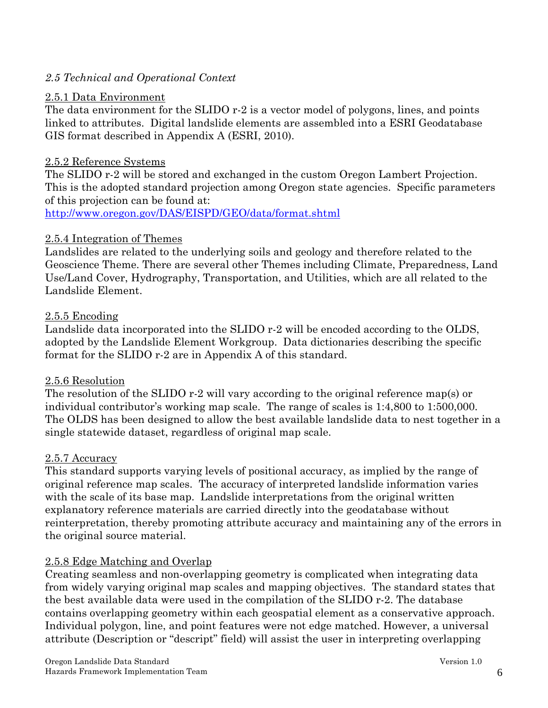#### *2.5 Technical and Operational Context*

#### 2.5.1 Data Environment

The data environment for the SLIDO r-2 is a vector model of polygons, lines, and points linked to attributes. Digital landslide elements are assembled into a ESRI Geodatabase GIS format described in Appendix A (ESRI, 2010).

#### 2.5.2 Reference Systems

The SLIDO r-2 will be stored and exchanged in the custom Oregon Lambert Projection. This is the adopted standard projection among Oregon state agencies. Specific parameters of this projection can be found at:

http://www.oregon.gov/DAS/EISPD/GEO/data/format.shtml

#### 2.5.4 Integration of Themes

Landslides are related to the underlying soils and geology and therefore related to the Geoscience Theme. There are several other Themes including Climate, Preparedness, Land Use/Land Cover, Hydrography, Transportation, and Utilities, which are all related to the Landslide Element.

#### 2.5.5 Encoding

Landslide data incorporated into the SLIDO r-2 will be encoded according to the OLDS, adopted by the Landslide Element Workgroup. Data dictionaries describing the specific format for the SLIDO r-2 are in Appendix A of this standard.

#### 2.5.6 Resolution

The resolution of the SLIDO r-2 will vary according to the original reference map(s) or individual contributor's working map scale. The range of scales is 1:4,800 to 1:500,000. The OLDS has been designed to allow the best available landslide data to nest together in a single statewide dataset, regardless of original map scale.

#### 2.5.7 Accuracy

This standard supports varying levels of positional accuracy, as implied by the range of original reference map scales. The accuracy of interpreted landslide information varies with the scale of its base map. Landslide interpretations from the original written explanatory reference materials are carried directly into the geodatabase without reinterpretation, thereby promoting attribute accuracy and maintaining any of the errors in the original source material.

#### 2.5.8 Edge Matching and Overlap

Creating seamless and non-overlapping geometry is complicated when integrating data from widely varying original map scales and mapping objectives. The standard states that the best available data were used in the compilation of the SLIDO r-2. The database contains overlapping geometry within each geospatial element as a conservative approach. Individual polygon, line, and point features were not edge matched. However, a universal attribute (Description or "descript" field) will assist the user in interpreting overlapping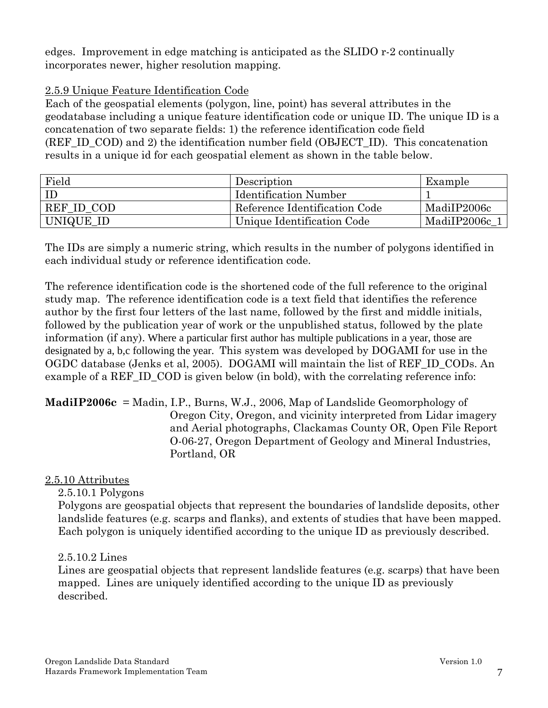edges. Improvement in edge matching is anticipated as the SLIDO r-2 continually incorporates newer, higher resolution mapping.

#### 2.5.9 Unique Feature Identification Code

Each of the geospatial elements (polygon, line, point) has several attributes in the geodatabase including a unique feature identification code or unique ID. The unique ID is a concatenation of two separate fields: 1) the reference identification code field (REF\_ID\_COD) and 2) the identification number field (OBJECT\_ID). This concatenation results in a unique id for each geospatial element as shown in the table below.

| Field      | Description                   | Example     |
|------------|-------------------------------|-------------|
| ID         | <b>Identification Number</b>  |             |
| REF ID COD | Reference Identification Code | MadiIP2006c |
| UNIQUE_ID  | Unique Identification Code    | MadiIP2006c |

The IDs are simply a numeric string, which results in the number of polygons identified in each individual study or reference identification code.

The reference identification code is the shortened code of the full reference to the original study map. The reference identification code is a text field that identifies the reference author by the first four letters of the last name, followed by the first and middle initials, followed by the publication year of work or the unpublished status, followed by the plate information (if any). Where a particular first author has multiple publications in a year, those are designated by a, b,c following the year. This system was developed by DOGAMI for use in the OGDC database (Jenks et al, 2005). DOGAMI will maintain the list of REF\_ID\_CODs. An example of a REF\_ID\_COD is given below (in bold), with the correlating reference info:

**MadiIP2006c** = Madin, I.P., Burns, W.J., 2006, Map of Landslide Geomorphology of Oregon City, Oregon, and vicinity interpreted from Lidar imagery and Aerial photographs, Clackamas County OR, Open File Report O-06-27, Oregon Department of Geology and Mineral Industries, Portland, OR

#### 2.5.10 Attributes

2.5.10.1 Polygons

Polygons are geospatial objects that represent the boundaries of landslide deposits, other landslide features (e.g. scarps and flanks), and extents of studies that have been mapped. Each polygon is uniquely identified according to the unique ID as previously described.

#### 2.5.10.2 Lines

Lines are geospatial objects that represent landslide features (e.g. scarps) that have been mapped. Lines are uniquely identified according to the unique ID as previously described.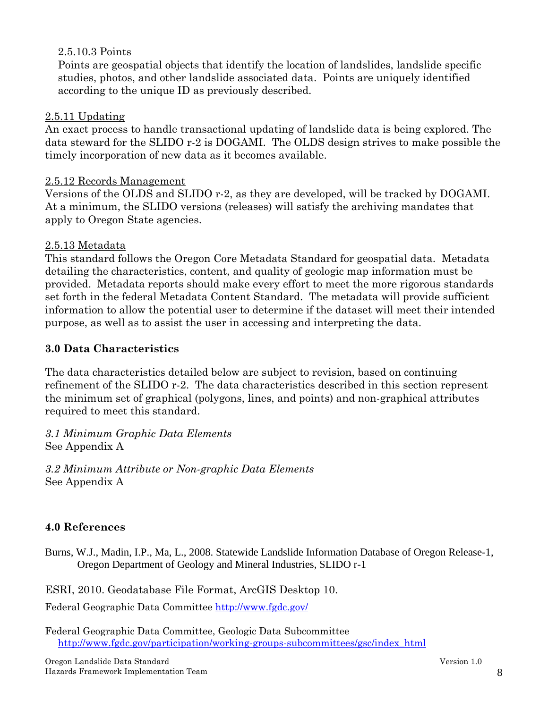#### 2.5.10.3 Points

Points are geospatial objects that identify the location of landslides, landslide specific studies, photos, and other landslide associated data. Points are uniquely identified according to the unique ID as previously described.

#### 2.5.11 Updating

An exact process to handle transactional updating of landslide data is being explored. The data steward for the SLIDO r-2 is DOGAMI. The OLDS design strives to make possible the timely incorporation of new data as it becomes available.

#### 2.5.12 Records Management

Versions of the OLDS and SLIDO r-2, as they are developed, will be tracked by DOGAMI. At a minimum, the SLIDO versions (releases) will satisfy the archiving mandates that apply to Oregon State agencies.

#### 2.5.13 Metadata

This standard follows the Oregon Core Metadata Standard for geospatial data. Metadata detailing the characteristics, content, and quality of geologic map information must be provided. Metadata reports should make every effort to meet the more rigorous standards set forth in the federal Metadata Content Standard. The metadata will provide sufficient information to allow the potential user to determine if the dataset will meet their intended purpose, as well as to assist the user in accessing and interpreting the data.

#### **3.0 Data Characteristics**

The data characteristics detailed below are subject to revision, based on continuing refinement of the SLIDO r-2. The data characteristics described in this section represent the minimum set of graphical (polygons, lines, and points) and non-graphical attributes required to meet this standard.

*3.1 Minimum Graphic Data Elements*  See Appendix A

*3.2 Minimum Attribute or Non-graphic Data Elements*  See Appendix A

#### **4.0 References**

Burns, W.J., Madin, I.P., Ma, L., 2008. Statewide Landslide Information Database of Oregon Release-1, Oregon Department of Geology and Mineral Industries, SLIDO r-1

ESRI, 2010. Geodatabase File Format, ArcGIS Desktop 10.

Federal Geographic Data Committee http://www.fgdc.gov/

Federal Geographic Data Committee, Geologic Data Subcommittee http://www.fgdc.gov/participation/working-groups-subcommittees/gsc/index\_html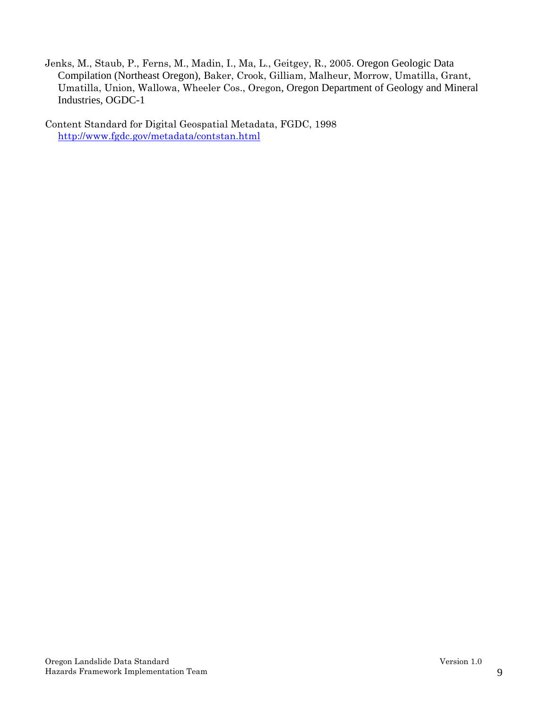Jenks, M., Staub, P., Ferns, M., Madin, I., Ma, L., Geitgey, R., 2005. Oregon Geologic Data Compilation (Northeast Oregon), Baker, Crook, Gilliam, Malheur, Morrow, Umatilla, Grant, Umatilla, Union, Wallowa, Wheeler Cos., Oregon, Oregon Department of Geology and Mineral Industries, OGDC-1

Content Standard for Digital Geospatial Metadata, FGDC, 1998 http://www.fgdc.gov/metadata/contstan.html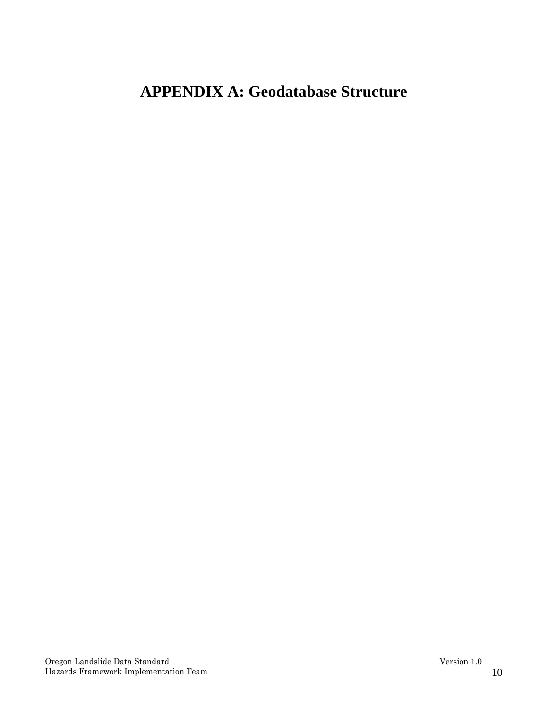# **APPENDIX A: Geodatabase Structure**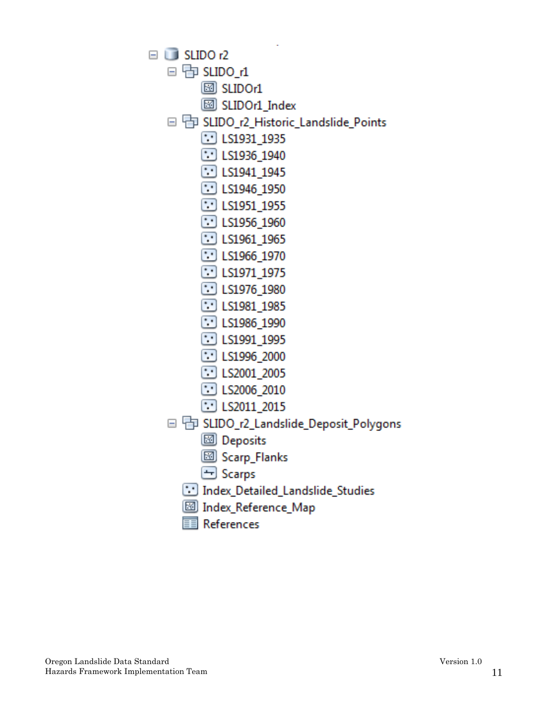$\Box$  SLIDO r2  $\Box$  The SLIDO  $\Lambda$  $\boxtimes$  SLIDOr1 **SLIDOr1** Index □ 中 SLIDO r2 Historic Landslide Points  $\Box$  LS1931 1935  $\Box$  LS1936\_1940  $\Box$  LS1941 1945 **ED** LS1946 1950  $\Box$  LS1951\_1955  $\Box$  LS1956\_1960  $\Box$  LS1961\_1965  $\Box$  LS1966 1970 **E** LS1971 1975  $\Box$  LS1976 1980  $\Box$  LS1981 1985  $\Box$  LS1986\_1990  $\left[\cdot\right]$  LS1991 1995  $\Box$  LS1996 2000  $\Box$  LS2001\_2005  $\Box$  LS2006 2010 **E** LS2011 2015 □ h SLIDO\_r2\_Landslide\_Deposit\_Polygons **8** Deposits **3** Scarp\_Flanks  $\Box$  Scarps Index\_Detailed\_Landslide\_Studies Map Index\_Reference\_Map References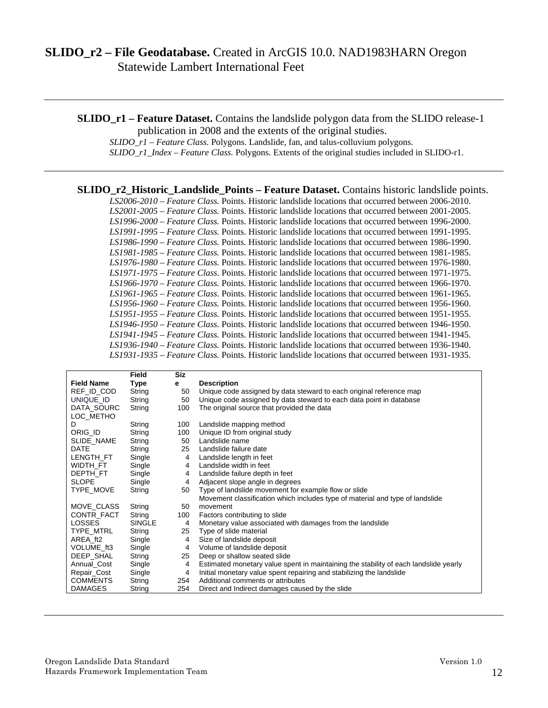# **SLIDO\_r2 – File Geodatabase.** Created in ArcGIS 10.0. NAD1983HARN Oregon Statewide Lambert International Feet

**SLIDO** r1 – **Feature Dataset.** Contains the landslide polygon data from the SLIDO release-1 publication in 2008 and the extents of the original studies.

*SLIDO\_r1 – Feature Class.* Polygons. Landslide, fan, and talus-colluvium polygons.

*SLIDO\_r1\_Index – Feature Class.* Polygons. Extents of the original studies included in SLIDO-r1.

**SLIDO\_r2\_Historic\_Landslide\_Points – Feature Dataset.** Contains historic landslide points.

*LS2006-2010 – Feature Class.* Points. Historic landslide locations that occurred between 2006-2010. *LS2001-2005 – Feature Class.* Points. Historic landslide locations that occurred between 2001-2005. *LS1996-2000 – Feature Class.* Points. Historic landslide locations that occurred between 1996-2000. *LS1991-1995 – Feature Class.* Points. Historic landslide locations that occurred between 1991-1995. *LS1986-1990 – Feature Class.* Points. Historic landslide locations that occurred between 1986-1990. *LS1981-1985 – Feature Class.* Points. Historic landslide locations that occurred between 1981-1985. *LS1976-1980 – Feature Class.* Points. Historic landslide locations that occurred between 1976-1980. *LS1971-1975 – Feature Class*. Points. Historic landslide locations that occurred between 1971-1975. *LS1966-1970 – Feature Class.* Points. Historic landslide locations that occurred between 1966-1970. *LS1961-1965 – Feature Class*. Points. Historic landslide locations that occurred between 1961-1965. *LS1956-1960 – Feature Class.* Points. Historic landslide locations that occurred between 1956-1960. *LS1951-1955 – Feature Class.* Points. Historic landslide locations that occurred between 1951-1955. *LS1946-1950 – Feature Class*. Points. Historic landslide locations that occurred between 1946-1950. *LS1941-1945 – Feature Class.* Points. Historic landslide locations that occurred between 1941-1945. *LS1936-1940 – Feature Class.* Points. Historic landslide locations that occurred between 1936-1940. *LS1931-1935 – Feature Class.* Points. Historic landslide locations that occurred between 1931-1935.

|                   | <b>Field</b>  | <b>Siz</b> |                                                                                      |
|-------------------|---------------|------------|--------------------------------------------------------------------------------------|
| <b>Field Name</b> | Type          | е          | <b>Description</b>                                                                   |
| REF_ID_COD        | String        | 50         | Unique code assigned by data steward to each original reference map                  |
| UNIQUE ID         | String        | 50         | Unique code assigned by data steward to each data point in database                  |
| DATA_SOURC        | String        | 100        | The original source that provided the data                                           |
| LOC METHO         |               |            |                                                                                      |
| D                 | String        | 100        | Landslide mapping method                                                             |
| ORIG_ID           | String        | 100        | Unique ID from original study                                                        |
| SLIDE NAME        | String        | 50         | Landslide name                                                                       |
| <b>DATE</b>       | String        | 25         | Landslide failure date                                                               |
| LENGTH_FT         | Single        | 4          | Landslide length in feet                                                             |
| WIDTH FT          | Single        | 4          | Landslide width in feet                                                              |
| DEPTH FT          | Single        | 4          | Landslide failure depth in feet                                                      |
| <b>SLOPE</b>      | Single        | 4          | Adjacent slope angle in degrees                                                      |
| TYPE MOVE         | String        | 50         | Type of landslide movement for example flow or slide                                 |
|                   |               |            | Movement classification which includes type of material and type of landslide        |
| MOVE CLASS        | String        | 50         | movement                                                                             |
| CONTR FACT        | String        | 100        | Factors contributing to slide                                                        |
| <b>LOSSES</b>     | <b>SINGLE</b> | 4          | Monetary value associated with damages from the landslide                            |
| TYPE_MTRL         | String        | 25         | Type of slide material                                                               |
| AREA ft2          | Single        | 4          | Size of landslide deposit                                                            |
| VOLUME ft3        | Single        | 4          | Volume of landslide deposit                                                          |
| DEEP_SHAL         | String        | 25         | Deep or shallow seated slide                                                         |
| Annual Cost       | Single        | 4          | Estimated monetary value spent in maintaining the stability of each landslide yearly |
| Repair_Cost       | Single        | 4          | Initial monetary value spent repairing and stabilizing the landslide                 |
| <b>COMMENTS</b>   | String        | 254        | Additional comments or attributes                                                    |
| <b>DAMAGES</b>    | String        | 254        | Direct and Indirect damages caused by the slide                                      |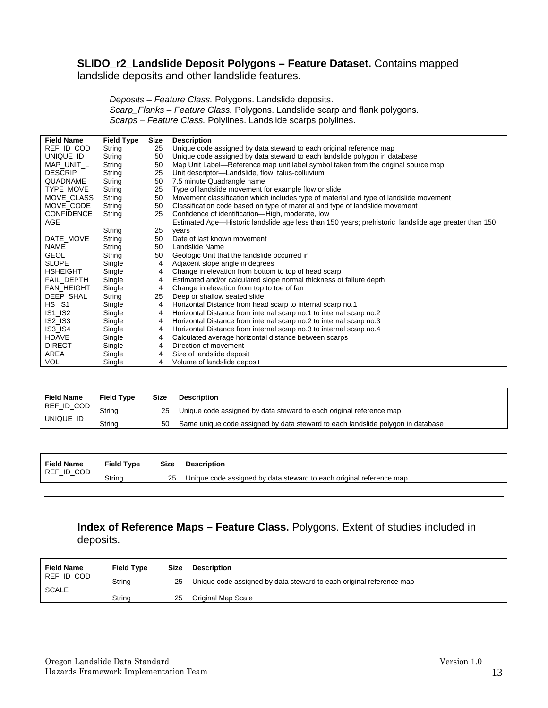#### **SLIDO\_r2\_Landslide Deposit Polygons – Feature Dataset.** Contains mapped

landslide deposits and other landslide features.

*Deposits – Feature Class.* Polygons. Landslide deposits. *Scarp\_Flanks – Feature Class.* Polygons. Landslide scarp and flank polygons. *Scarps – Feature Class.* Polylines. Landslide scarps polylines.

| <b>Field Name</b>        | <b>Field Type</b> | Size | <b>Description</b>                                                                                   |
|--------------------------|-------------------|------|------------------------------------------------------------------------------------------------------|
| REF_ID_COD               | String            | 25   | Unique code assigned by data steward to each original reference map                                  |
| UNIQUE ID                | String            | 50   | Unique code assigned by data steward to each landslide polygon in database                           |
| MAP_UNIT_L               | String            | 50   | Map Unit Label—Reference map unit label symbol taken from the original source map                    |
| <b>DESCRIP</b>           | String            | 25   | Unit descriptor-Landslide, flow, talus-colluvium                                                     |
| QUADNAME                 | String            | 50   | 7.5 minute Quadrangle name                                                                           |
| TYPE MOVE                | String            | 25   | Type of landslide movement for example flow or slide                                                 |
| MOVE CLASS               | String            | 50   | Movement classification which includes type of material and type of landslide movement               |
| MOVE CODE                | String            | 50   | Classification code based on type of material and type of landslide movement                         |
| <b>CONFIDENCE</b>        | String            | 25   | Confidence of identification-High, moderate, low                                                     |
| AGE                      |                   |      | Estimated Age-Historic landslide age less than 150 years; prehistoric landslide age greater than 150 |
|                          | String            | 25   | years                                                                                                |
| DATE_MOVE                | String            | 50   | Date of last known movement                                                                          |
| <b>NAME</b>              | String            | 50   | Landslide Name                                                                                       |
| <b>GEOL</b>              | String            | 50   | Geologic Unit that the landslide occurred in                                                         |
| <b>SLOPE</b>             | Single            | 4    | Adjacent slope angle in degrees                                                                      |
| <b>HSHEIGHT</b>          | Single            | 4    | Change in elevation from bottom to top of head scarp                                                 |
| FAIL_DEPTH               | Single            | 4    | Estimated and/or calculated slope normal thickness of failure depth                                  |
| FAN_HEIGHT               | Single            | 4    | Change in elevation from top to toe of fan                                                           |
| DEEP SHAL                | String            | 25   | Deep or shallow seated slide                                                                         |
| $HS$ <sub>IS1</sub>      | Single            | 4    | Horizontal Distance from head scarp to internal scarp no.1                                           |
| $IS1$ <sub>_</sub> $IS2$ | Single            | 4    | Horizontal Distance from internal scarp no.1 to internal scarp no.2                                  |
| $IS2_I$ $IS3$            | Single            | 4    | Horizontal Distance from internal scarp no.2 to internal scarp no.3                                  |
| <b>IS3_IS4</b>           | Single            | 4    | Horizontal Distance from internal scarp no.3 to internal scarp no.4                                  |
| <b>HDAVE</b>             | Single            | 4    | Calculated average horizontal distance between scarps                                                |
| <b>DIRECT</b>            | Single            | 4    | Direction of movement                                                                                |
| AREA                     | Single            | 4    | Size of landslide deposit                                                                            |
| <b>VOL</b>               | Single            | 4    | Volume of landslide deposit                                                                          |

| <b>Field Name</b> | <b>Field Type</b> | <b>Size</b> | <b>Description</b>                                                              |
|-------------------|-------------------|-------------|---------------------------------------------------------------------------------|
| REF_ID_COD        | Strina            | 25          | Unique code assigned by data steward to each original reference map             |
| UNIQUE_ID         | Strina            | 50          | Same unique code assigned by data steward to each landslide polygon in database |

| Field Name<br>REF_ID_COD | <b>Field Type</b> | Size | <b>Description</b>                                                  |
|--------------------------|-------------------|------|---------------------------------------------------------------------|
|                          | Strina            | 25   | Unique code assigned by data steward to each original reference map |

#### **Index of Reference Maps – Feature Class.** Polygons. Extent of studies included in deposits.

| <b>Field Name</b>          | <b>Field Type</b> | Size | <b>Description</b>                                                  |
|----------------------------|-------------------|------|---------------------------------------------------------------------|
| REF_ID_COD<br><b>SCALE</b> | String            | 25   | Unique code assigned by data steward to each original reference map |
|                            | Strina            | 25   | Original Map Scale                                                  |